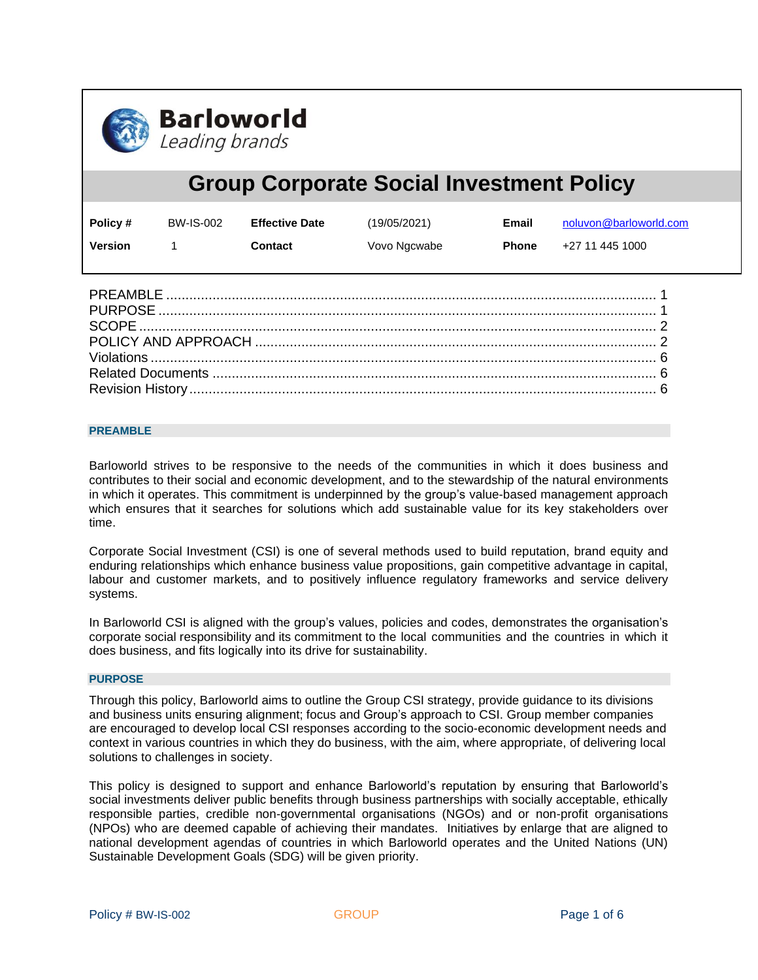

# **Group Corporate Social Investment Policy**

| Policy #       | <b>BW-IS-002</b> | <b>Effective Date</b> | (19/05/2021) | Email        | noluvon@barloworld.com |
|----------------|------------------|-----------------------|--------------|--------------|------------------------|
| <b>Version</b> |                  | Contact               | Vovo Ngcwabe | <b>Phone</b> | +27 11 445 1000        |

## <span id="page-0-0"></span>**PREAMBLE**

Barloworld strives to be responsive to the needs of the communities in which it does business and contributes to their social and economic development, and to the stewardship of the natural environments in which it operates. This commitment is underpinned by the group's value-based management approach which ensures that it searches for solutions which add sustainable value for its key stakeholders over time.

Corporate Social Investment (CSI) is one of several methods used to build reputation, brand equity and enduring relationships which enhance business value propositions, gain competitive advantage in capital, labour and customer markets, and to positively influence regulatory frameworks and service delivery systems.

In Barloworld CSI is aligned with the group's values, policies and codes, demonstrates the organisation's corporate social responsibility and its commitment to the local communities and the countries in which it does business, and fits logically into its drive for sustainability.

### <span id="page-0-1"></span>**PURPOSE**

Through this policy, Barloworld aims to outline the Group CSI strategy, provide guidance to its divisions and business units ensuring alignment; focus and Group's approach to CSI. Group member companies are encouraged to develop local CSI responses according to the socio-economic development needs and context in various countries in which they do business, with the aim, where appropriate, of delivering local solutions to challenges in society.

This policy is designed to support and enhance Barloworld's reputation by ensuring that Barloworld's social investments deliver public benefits through business partnerships with socially acceptable, ethically responsible parties, credible non-governmental organisations (NGOs) and or non-profit organisations (NPOs) who are deemed capable of achieving their mandates. Initiatives by enlarge that are aligned to national development agendas of countries in which Barloworld operates and the United Nations (UN) Sustainable Development Goals (SDG) will be given priority.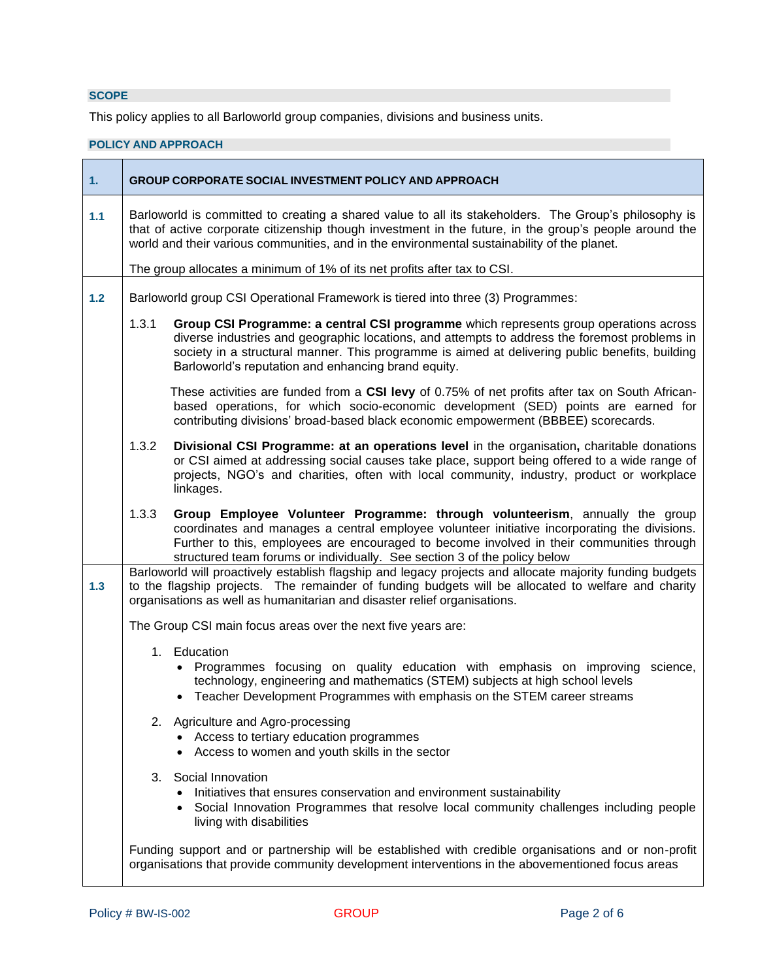# <span id="page-1-0"></span>**SCOPE**

This policy applies to all Barloworld group companies, divisions and business units.

# <span id="page-1-1"></span>**POLICY AND APPROACH**

| 1.  | <b>GROUP CORPORATE SOCIAL INVESTMENT POLICY AND APPROACH</b>                                                                                                                                                                                                                                                                                                    |  |  |
|-----|-----------------------------------------------------------------------------------------------------------------------------------------------------------------------------------------------------------------------------------------------------------------------------------------------------------------------------------------------------------------|--|--|
| 1.1 | Barloworld is committed to creating a shared value to all its stakeholders. The Group's philosophy is<br>that of active corporate citizenship though investment in the future, in the group's people around the<br>world and their various communities, and in the environmental sustainability of the planet.                                                  |  |  |
|     | The group allocates a minimum of 1% of its net profits after tax to CSI.                                                                                                                                                                                                                                                                                        |  |  |
| 1.2 | Barloworld group CSI Operational Framework is tiered into three (3) Programmes:                                                                                                                                                                                                                                                                                 |  |  |
|     | 1.3.1<br>Group CSI Programme: a central CSI programme which represents group operations across<br>diverse industries and geographic locations, and attempts to address the foremost problems in<br>society in a structural manner. This programme is aimed at delivering public benefits, building<br>Barloworld's reputation and enhancing brand equity.       |  |  |
|     | These activities are funded from a CSI levy of 0.75% of net profits after tax on South African-<br>based operations, for which socio-economic development (SED) points are earned for<br>contributing divisions' broad-based black economic empowerment (BBBEE) scorecards.                                                                                     |  |  |
|     | 1.3.2<br>Divisional CSI Programme: at an operations level in the organisation, charitable donations<br>or CSI aimed at addressing social causes take place, support being offered to a wide range of<br>projects, NGO's and charities, often with local community, industry, product or workplace<br>linkages.                                                  |  |  |
|     | 1.3.3<br>Group Employee Volunteer Programme: through volunteerism, annually the group<br>coordinates and manages a central employee volunteer initiative incorporating the divisions.<br>Further to this, employees are encouraged to become involved in their communities through<br>structured team forums or individually. See section 3 of the policy below |  |  |
| 1.3 | Barloworld will proactively establish flagship and legacy projects and allocate majority funding budgets<br>to the flagship projects. The remainder of funding budgets will be allocated to welfare and charity<br>organisations as well as humanitarian and disaster relief organisations.                                                                     |  |  |
|     | The Group CSI main focus areas over the next five years are:                                                                                                                                                                                                                                                                                                    |  |  |
|     | 1. Education<br>• Programmes focusing on quality education with emphasis on improving<br>science,<br>technology, engineering and mathematics (STEM) subjects at high school levels<br>Teacher Development Programmes with emphasis on the STEM career streams                                                                                                   |  |  |
|     | 2. Agriculture and Agro-processing<br>Access to tertiary education programmes<br>Access to women and youth skills in the sector                                                                                                                                                                                                                                 |  |  |
|     | Social Innovation<br>3.<br>Initiatives that ensures conservation and environment sustainability<br>Social Innovation Programmes that resolve local community challenges including people<br>living with disabilities                                                                                                                                            |  |  |
|     | Funding support and or partnership will be established with credible organisations and or non-profit<br>organisations that provide community development interventions in the abovementioned focus areas                                                                                                                                                        |  |  |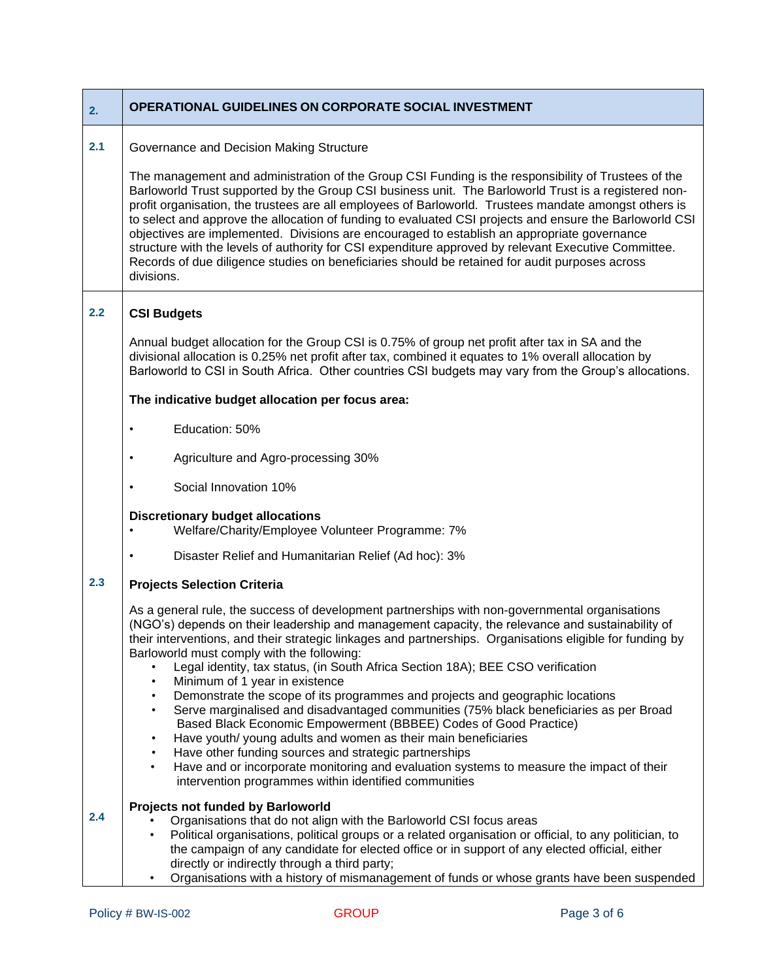| 2.  | <b>OPERATIONAL GUIDELINES ON CORPORATE SOCIAL INVESTMENT</b>                                                                                                                                                                                                                                                                                                                                                                                                                                                                                                                                                                                                                                                                                                                                                                                            |  |  |
|-----|---------------------------------------------------------------------------------------------------------------------------------------------------------------------------------------------------------------------------------------------------------------------------------------------------------------------------------------------------------------------------------------------------------------------------------------------------------------------------------------------------------------------------------------------------------------------------------------------------------------------------------------------------------------------------------------------------------------------------------------------------------------------------------------------------------------------------------------------------------|--|--|
| 2.1 | Governance and Decision Making Structure                                                                                                                                                                                                                                                                                                                                                                                                                                                                                                                                                                                                                                                                                                                                                                                                                |  |  |
|     | The management and administration of the Group CSI Funding is the responsibility of Trustees of the<br>Barloworld Trust supported by the Group CSI business unit. The Barloworld Trust is a registered non-<br>profit organisation, the trustees are all employees of Barloworld. Trustees mandate amongst others is<br>to select and approve the allocation of funding to evaluated CSI projects and ensure the Barloworld CSI<br>objectives are implemented. Divisions are encouraged to establish an appropriate governance<br>structure with the levels of authority for CSI expenditure approved by relevant Executive Committee.<br>Records of due diligence studies on beneficiaries should be retained for audit purposes across<br>divisions.                                                                                                  |  |  |
| 2.2 | <b>CSI Budgets</b>                                                                                                                                                                                                                                                                                                                                                                                                                                                                                                                                                                                                                                                                                                                                                                                                                                      |  |  |
|     | Annual budget allocation for the Group CSI is 0.75% of group net profit after tax in SA and the<br>divisional allocation is 0.25% net profit after tax, combined it equates to 1% overall allocation by<br>Barloworld to CSI in South Africa. Other countries CSI budgets may vary from the Group's allocations.                                                                                                                                                                                                                                                                                                                                                                                                                                                                                                                                        |  |  |
|     | The indicative budget allocation per focus area:                                                                                                                                                                                                                                                                                                                                                                                                                                                                                                                                                                                                                                                                                                                                                                                                        |  |  |
|     | Education: 50%                                                                                                                                                                                                                                                                                                                                                                                                                                                                                                                                                                                                                                                                                                                                                                                                                                          |  |  |
|     | Agriculture and Agro-processing 30%<br>$\bullet$                                                                                                                                                                                                                                                                                                                                                                                                                                                                                                                                                                                                                                                                                                                                                                                                        |  |  |
|     | Social Innovation 10%<br>$\bullet$                                                                                                                                                                                                                                                                                                                                                                                                                                                                                                                                                                                                                                                                                                                                                                                                                      |  |  |
|     | <b>Discretionary budget allocations</b><br>Welfare/Charity/Employee Volunteer Programme: 7%                                                                                                                                                                                                                                                                                                                                                                                                                                                                                                                                                                                                                                                                                                                                                             |  |  |
|     | Disaster Relief and Humanitarian Relief (Ad hoc): 3%                                                                                                                                                                                                                                                                                                                                                                                                                                                                                                                                                                                                                                                                                                                                                                                                    |  |  |
| 2.3 | <b>Projects Selection Criteria</b>                                                                                                                                                                                                                                                                                                                                                                                                                                                                                                                                                                                                                                                                                                                                                                                                                      |  |  |
|     | As a general rule, the success of development partnerships with non-governmental organisations<br>(NGO's) depends on their leadership and management capacity, the relevance and sustainability of<br>their interventions, and their strategic linkages and partnerships. Organisations eligible for funding by<br>Barloworld must comply with the following:<br>Legal identity, tax status, (in South Africa Section 18A); BEE CSO verification<br>Minimum of 1 year in existence<br>$\bullet$<br>Demonstrate the scope of its programmes and projects and geographic locations<br>$\bullet$<br>Serve marginalised and disadvantaged communities (75% black beneficiaries as per Broad<br>$\bullet$<br>Based Black Economic Empowerment (BBBEE) Codes of Good Practice)<br>Have youth/ young adults and women as their main beneficiaries<br>$\bullet$ |  |  |
|     | Have other funding sources and strategic partnerships<br>$\bullet$                                                                                                                                                                                                                                                                                                                                                                                                                                                                                                                                                                                                                                                                                                                                                                                      |  |  |
|     | Have and or incorporate monitoring and evaluation systems to measure the impact of their<br>$\bullet$<br>intervention programmes within identified communities                                                                                                                                                                                                                                                                                                                                                                                                                                                                                                                                                                                                                                                                                          |  |  |
| 2.4 | Projects not funded by Barloworld<br>Organisations that do not align with the Barloworld CSI focus areas<br>Political organisations, political groups or a related organisation or official, to any politician, to<br>$\bullet$<br>the campaign of any candidate for elected office or in support of any elected official, either<br>directly or indirectly through a third party;<br>Organisations with a history of mismanagement of funds or whose grants have been suspended<br>٠                                                                                                                                                                                                                                                                                                                                                                   |  |  |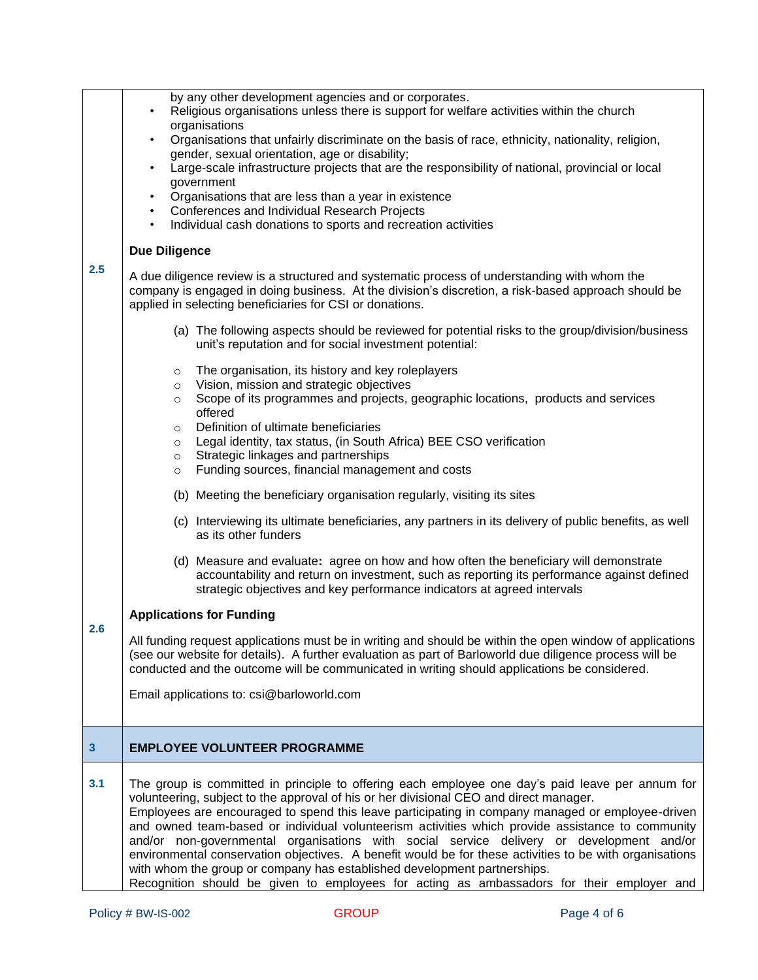| 2.5          | by any other development agencies and or corporates.<br>Religious organisations unless there is support for welfare activities within the church<br>organisations<br>Organisations that unfairly discriminate on the basis of race, ethnicity, nationality, religion,<br>$\bullet$<br>gender, sexual orientation, age or disability;<br>Large-scale infrastructure projects that are the responsibility of national, provincial or local<br>$\bullet$<br>government<br>Organisations that are less than a year in existence<br>$\bullet$<br>Conferences and Individual Research Projects<br>$\bullet$<br>Individual cash donations to sports and recreation activities<br>$\bullet$<br><b>Due Diligence</b><br>A due diligence review is a structured and systematic process of understanding with whom the |  |  |  |
|--------------|-------------------------------------------------------------------------------------------------------------------------------------------------------------------------------------------------------------------------------------------------------------------------------------------------------------------------------------------------------------------------------------------------------------------------------------------------------------------------------------------------------------------------------------------------------------------------------------------------------------------------------------------------------------------------------------------------------------------------------------------------------------------------------------------------------------|--|--|--|
|              | company is engaged in doing business. At the division's discretion, a risk-based approach should be<br>applied in selecting beneficiaries for CSI or donations.                                                                                                                                                                                                                                                                                                                                                                                                                                                                                                                                                                                                                                             |  |  |  |
|              | (a) The following aspects should be reviewed for potential risks to the group/division/business<br>unit's reputation and for social investment potential:                                                                                                                                                                                                                                                                                                                                                                                                                                                                                                                                                                                                                                                   |  |  |  |
|              | The organisation, its history and key roleplayers<br>$\circ$<br>Vision, mission and strategic objectives<br>$\circ$<br>Scope of its programmes and projects, geographic locations, products and services<br>$\circ$<br>offered<br>Definition of ultimate beneficiaries<br>$\circ$                                                                                                                                                                                                                                                                                                                                                                                                                                                                                                                           |  |  |  |
|              | Legal identity, tax status, (in South Africa) BEE CSO verification<br>$\circ$<br>Strategic linkages and partnerships<br>$\circ$<br>Funding sources, financial management and costs<br>$\circ$                                                                                                                                                                                                                                                                                                                                                                                                                                                                                                                                                                                                               |  |  |  |
|              | (b) Meeting the beneficiary organisation regularly, visiting its sites                                                                                                                                                                                                                                                                                                                                                                                                                                                                                                                                                                                                                                                                                                                                      |  |  |  |
|              | (c) Interviewing its ultimate beneficiaries, any partners in its delivery of public benefits, as well<br>as its other funders                                                                                                                                                                                                                                                                                                                                                                                                                                                                                                                                                                                                                                                                               |  |  |  |
|              | (d) Measure and evaluate: agree on how and how often the beneficiary will demonstrate<br>accountability and return on investment, such as reporting its performance against defined<br>strategic objectives and key performance indicators at agreed intervals                                                                                                                                                                                                                                                                                                                                                                                                                                                                                                                                              |  |  |  |
| 2.6          | <b>Applications for Funding</b>                                                                                                                                                                                                                                                                                                                                                                                                                                                                                                                                                                                                                                                                                                                                                                             |  |  |  |
|              | All funding request applications must be in writing and should be within the open window of applications<br>(see our website for details). A further evaluation as part of Barloworld due diligence process will be<br>conducted and the outcome will be communicated in writing should applications be considered.                                                                                                                                                                                                                                                                                                                                                                                                                                                                                         |  |  |  |
|              | Email applications to: csi@barloworld.com                                                                                                                                                                                                                                                                                                                                                                                                                                                                                                                                                                                                                                                                                                                                                                   |  |  |  |
| $\mathbf{3}$ | <b>EMPLOYEE VOLUNTEER PROGRAMME</b>                                                                                                                                                                                                                                                                                                                                                                                                                                                                                                                                                                                                                                                                                                                                                                         |  |  |  |
| 3.1          | The group is committed in principle to offering each employee one day's paid leave per annum for<br>volunteering, subject to the approval of his or her divisional CEO and direct manager.<br>Employees are encouraged to spend this leave participating in company managed or employee-driven<br>and owned team-based or individual volunteerism activities which provide assistance to community<br>and/or non-governmental organisations with social service delivery or development and/or<br>environmental conservation objectives. A benefit would be for these activities to be with organisations<br>with whom the group or company has established development partnerships.<br>Recognition should be given to employees for acting as ambassadors for their employer and                          |  |  |  |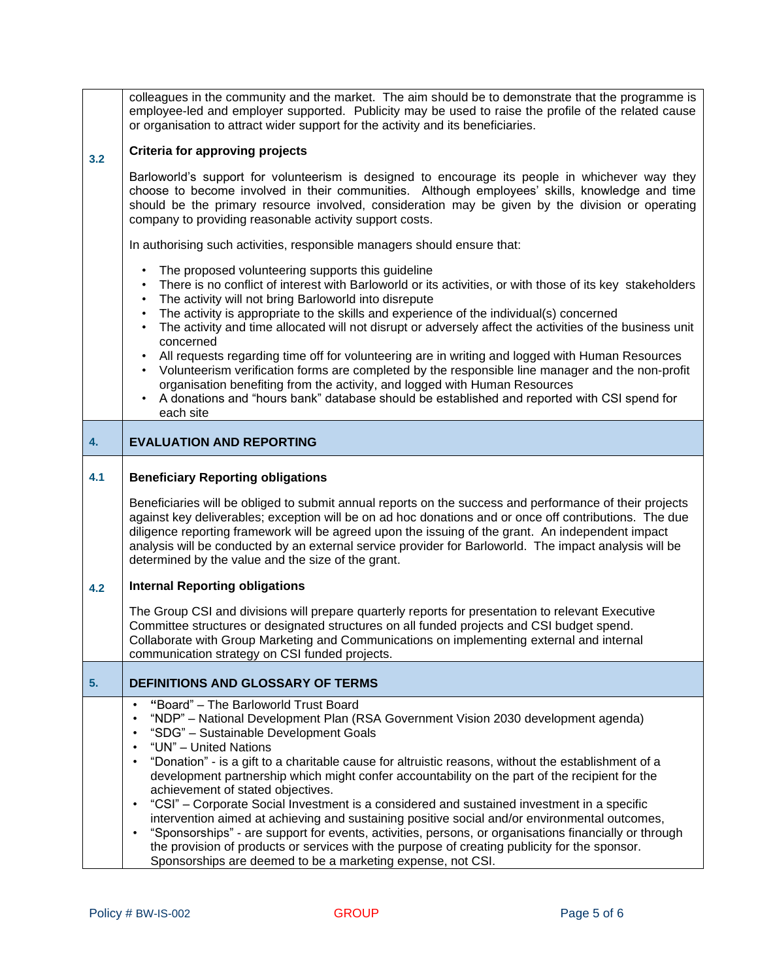|     | colleagues in the community and the market. The aim should be to demonstrate that the programme is<br>employee-led and employer supported. Publicity may be used to raise the profile of the related cause<br>or organisation to attract wider support for the activity and its beneficiaries.                                                                                                                                                                                                                                                                                                                                                                                                                                                                                                                                                                                                                                                                                     |  |  |
|-----|------------------------------------------------------------------------------------------------------------------------------------------------------------------------------------------------------------------------------------------------------------------------------------------------------------------------------------------------------------------------------------------------------------------------------------------------------------------------------------------------------------------------------------------------------------------------------------------------------------------------------------------------------------------------------------------------------------------------------------------------------------------------------------------------------------------------------------------------------------------------------------------------------------------------------------------------------------------------------------|--|--|
| 3.2 | <b>Criteria for approving projects</b>                                                                                                                                                                                                                                                                                                                                                                                                                                                                                                                                                                                                                                                                                                                                                                                                                                                                                                                                             |  |  |
|     | Barloworld's support for volunteerism is designed to encourage its people in whichever way they<br>choose to become involved in their communities. Although employees' skills, knowledge and time<br>should be the primary resource involved, consideration may be given by the division or operating<br>company to providing reasonable activity support costs.                                                                                                                                                                                                                                                                                                                                                                                                                                                                                                                                                                                                                   |  |  |
|     | In authorising such activities, responsible managers should ensure that:                                                                                                                                                                                                                                                                                                                                                                                                                                                                                                                                                                                                                                                                                                                                                                                                                                                                                                           |  |  |
|     | The proposed volunteering supports this guideline<br>$\bullet$<br>There is no conflict of interest with Barloworld or its activities, or with those of its key stakeholders<br>$\bullet$<br>The activity will not bring Barloworld into disrepute<br>$\bullet$<br>The activity is appropriate to the skills and experience of the individual(s) concerned<br>$\bullet$<br>The activity and time allocated will not disrupt or adversely affect the activities of the business unit<br>$\bullet$<br>concerned<br>All requests regarding time off for volunteering are in writing and logged with Human Resources<br>$\bullet$                                                                                                                                                                                                                                                                                                                                                       |  |  |
|     | Volunteerism verification forms are completed by the responsible line manager and the non-profit<br>$\bullet$<br>organisation benefiting from the activity, and logged with Human Resources<br>A donations and "hours bank" database should be established and reported with CSI spend for<br>each site                                                                                                                                                                                                                                                                                                                                                                                                                                                                                                                                                                                                                                                                            |  |  |
| 4.  | <b>EVALUATION AND REPORTING</b>                                                                                                                                                                                                                                                                                                                                                                                                                                                                                                                                                                                                                                                                                                                                                                                                                                                                                                                                                    |  |  |
| 4.1 | <b>Beneficiary Reporting obligations</b>                                                                                                                                                                                                                                                                                                                                                                                                                                                                                                                                                                                                                                                                                                                                                                                                                                                                                                                                           |  |  |
|     | Beneficiaries will be obliged to submit annual reports on the success and performance of their projects<br>against key deliverables; exception will be on ad hoc donations and or once off contributions. The due<br>diligence reporting framework will be agreed upon the issuing of the grant. An independent impact<br>analysis will be conducted by an external service provider for Barloworld. The impact analysis will be<br>determined by the value and the size of the grant.                                                                                                                                                                                                                                                                                                                                                                                                                                                                                             |  |  |
| 4.2 | <b>Internal Reporting obligations</b>                                                                                                                                                                                                                                                                                                                                                                                                                                                                                                                                                                                                                                                                                                                                                                                                                                                                                                                                              |  |  |
|     | The Group CSI and divisions will prepare quarterly reports for presentation to relevant Executive<br>Committee structures or designated structures on all funded projects and CSI budget spend.<br>Collaborate with Group Marketing and Communications on implementing external and internal<br>communication strategy on CSI funded projects.                                                                                                                                                                                                                                                                                                                                                                                                                                                                                                                                                                                                                                     |  |  |
| 5.  | DEFINITIONS AND GLOSSARY OF TERMS                                                                                                                                                                                                                                                                                                                                                                                                                                                                                                                                                                                                                                                                                                                                                                                                                                                                                                                                                  |  |  |
|     | "Board" - The Barloworld Trust Board<br>$\bullet$<br>"NDP" - National Development Plan (RSA Government Vision 2030 development agenda)<br>$\bullet$<br>"SDG" - Sustainable Development Goals<br>"UN" - United Nations<br>$\bullet$<br>"Donation" - is a gift to a charitable cause for altruistic reasons, without the establishment of a<br>development partnership which might confer accountability on the part of the recipient for the<br>achievement of stated objectives.<br>"CSI" – Corporate Social Investment is a considered and sustained investment in a specific<br>$\bullet$<br>intervention aimed at achieving and sustaining positive social and/or environmental outcomes,<br>"Sponsorships" - are support for events, activities, persons, or organisations financially or through<br>$\bullet$<br>the provision of products or services with the purpose of creating publicity for the sponsor.<br>Sponsorships are deemed to be a marketing expense, not CSI. |  |  |